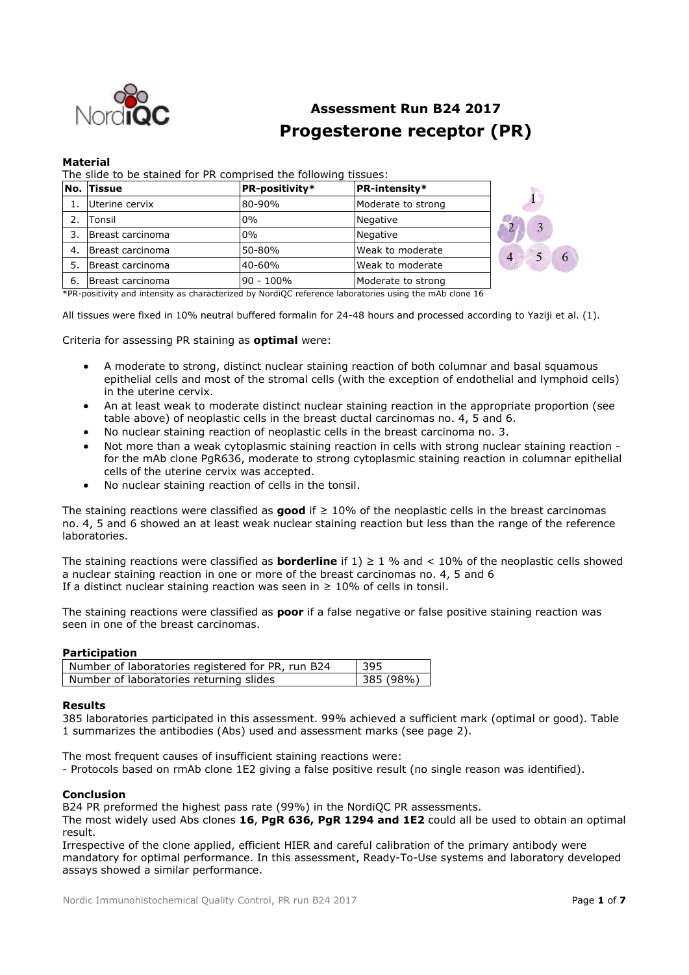

# **Assessment Run B24 2017 Progesterone receptor (PR)**

#### **Material**

The slide to be stained for PR comprised the following tissues:

|     | No. Tissue       | <b>PR-intensity*</b><br><b>PR-positivity*</b> |                    |                     |
|-----|------------------|-----------------------------------------------|--------------------|---------------------|
|     | Uterine cervix   | 80-90%                                        | Moderate to strong |                     |
|     | <b>Tonsil</b>    | $0\%$                                         | Negative           |                     |
|     | Breast carcinoma | $0\%$                                         | Negative           |                     |
| 4.  | Breast carcinoma | 50-80%                                        | Weak to moderate   | $\overline{4}$<br>6 |
| 5.  | Breast carcinoma | 40-60%                                        | Weak to moderate   |                     |
| -6. | Breast carcinoma | 90 - 100%                                     | Moderate to strong |                     |

\*PR-positivity and intensity as characterized by NordiQC reference laboratories using the mAb clone 16

All tissues were fixed in 10% neutral buffered formalin for 24-48 hours and processed according to Yaziji et al. (1).

Criteria for assessing PR staining as **optimal** were:

- A moderate to strong, distinct nuclear staining reaction of both columnar and basal squamous epithelial cells and most of the stromal cells (with the exception of endothelial and lymphoid cells) in the uterine cervix.
- An at least weak to moderate distinct nuclear staining reaction in the appropriate proportion (see table above) of neoplastic cells in the breast ductal carcinomas no. 4, 5 and 6.
- No nuclear staining reaction of neoplastic cells in the breast carcinoma no. 3.
- Not more than a weak cytoplasmic staining reaction in cells with strong nuclear staining reaction for the mAb clone PgR636, moderate to strong cytoplasmic staining reaction in columnar epithelial cells of the uterine cervix was accepted.
- No nuclear staining reaction of cells in the tonsil.

The staining reactions were classified as **good** if ≥ 10% of the neoplastic cells in the breast carcinomas no. 4, 5 and 6 showed an at least weak nuclear staining reaction but less than the range of the reference laboratories.

The staining reactions were classified as **borderline** if  $1$ )  $\geq 1$  % and < 10% of the neoplastic cells showed a nuclear staining reaction in one or more of the breast carcinomas no. 4, 5 and 6 If a distinct nuclear staining reaction was seen in  $\geq 10\%$  of cells in tonsil.

The staining reactions were classified as **poor** if a false negative or false positive staining reaction was seen in one of the breast carcinomas.

### **Participation**

| Number of laboratories registered for PR, run B24 | 1395      |
|---------------------------------------------------|-----------|
| Number of laboratories returning slides           | 385 (98%) |

#### **Results**

385 laboratories participated in this assessment. 99% achieved a sufficient mark (optimal or good). Table 1 summarizes the antibodies (Abs) used and assessment marks (see page 2).

The most frequent causes of insufficient staining reactions were:

- Protocols based on rmAb clone 1E2 giving a false positive result (no single reason was identified).

# **Conclusion**

B24 PR preformed the highest pass rate (99%) in the NordiQC PR assessments.

The most widely used Abs clones **16**, **PgR 636, PgR 1294 and 1E2** could all be used to obtain an optimal result.

Irrespective of the clone applied, efficient HIER and careful calibration of the primary antibody were mandatory for optimal performance. In this assessment, Ready-To-Use systems and laboratory developed assays showed a similar performance.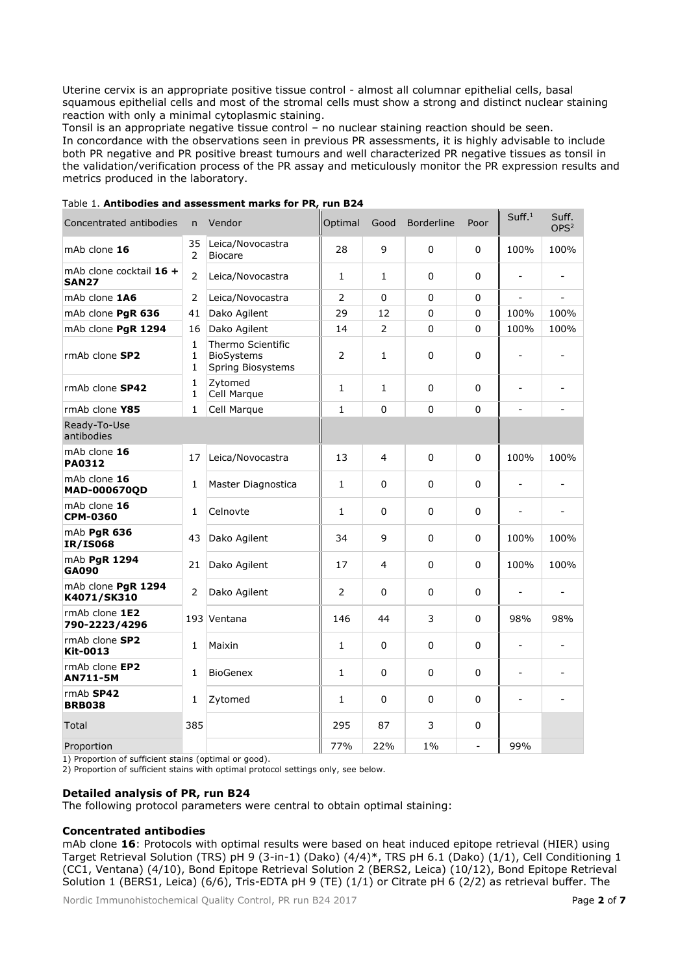Uterine cervix is an appropriate positive tissue control - almost all columnar epithelial cells, basal squamous epithelial cells and most of the stromal cells must show a strong and distinct nuclear staining reaction with only a minimal cytoplasmic staining.

Tonsil is an appropriate negative tissue control – no nuclear staining reaction should be seen. In concordance with the observations seen in previous PR assessments, it is highly advisable to include both PR negative and PR positive breast tumours and well characterized PR negative tissues as tonsil in the validation/verification process of the PR assay and meticulously monitor the PR expression results and metrics produced in the laboratory.

| Concentrated antibodies                 | n.             | Vendor                                                      | Optimal        | Good           | <b>Borderline</b> | Poor           | Suff. <sup>1</sup>       | Suff.<br>OPS <sup>2</sup> |
|-----------------------------------------|----------------|-------------------------------------------------------------|----------------|----------------|-------------------|----------------|--------------------------|---------------------------|
| mAb clone $16$                          | 35<br>2        | Leica/Novocastra<br><b>Biocare</b>                          | 28             | 9              | $\Omega$          | $\Omega$       | 100%                     | 100%                      |
| mAb clone cocktail 16 +<br><b>SAN27</b> | 2              | Leica/Novocastra                                            | $\mathbf{1}$   | $\mathbf{1}$   | $\Omega$          | $\Omega$       |                          |                           |
| mAb clone 1A6                           | 2              | Leica/Novocastra                                            | 2              | $\mathbf 0$    | $\Omega$          | $\Omega$       | $\overline{a}$           |                           |
| mAb clone PgR 636                       | 41             | Dako Agilent                                                | 29             | 12             | $\Omega$          | $\Omega$       | 100%                     | 100%                      |
| mAb clone PgR 1294                      | 16             | Dako Agilent                                                | 14             | 2              | $\Omega$          | $\Omega$       | 100%                     | 100%                      |
| rmAb clone SP2                          | 1<br>1<br>1    | Thermo Scientific<br><b>BioSystems</b><br>Spring Biosystems | $\overline{2}$ | $\mathbf{1}$   | 0                 | $\Omega$       | $\blacksquare$           |                           |
| rmAb clone SP42                         | 1<br>1         | Zytomed<br>Cell Marque                                      | $\mathbf{1}$   | $\mathbf{1}$   | 0                 | $\Omega$       | $\overline{a}$           |                           |
| rmAb clone Y85                          | $\mathbf{1}$   | Cell Marque                                                 | $\mathbf{1}$   | $\Omega$       | $\Omega$          | $\Omega$       | $\overline{a}$           |                           |
| Ready-To-Use<br>antibodies              |                |                                                             |                |                |                   |                |                          |                           |
| mAb clone 16<br><b>PA0312</b>           | 17             | Leica/Novocastra                                            | 13             | $\overline{4}$ | $\Omega$          | $\Omega$       | 100%                     | 100%                      |
| mAb clone 16<br>MAD-000670QD            | 1              | Master Diagnostica                                          | $\mathbf{1}$   | 0              | $\Omega$          | $\Omega$       |                          |                           |
| mAb clone 16<br><b>CPM-0360</b>         | $\mathbf{1}$   | Celnovte                                                    | $\mathbf{1}$   | 0              | 0                 | $\Omega$       | $\overline{a}$           | $\overline{a}$            |
| mAb PgR 636<br><b>IR/IS068</b>          | 43             | Dako Agilent                                                | 34             | 9              | $\Omega$          | $\Omega$       | 100%                     | 100%                      |
| mAb PgR 1294<br><b>GA090</b>            | 21             | Dako Agilent                                                | 17             | $\overline{4}$ | $\Omega$          | $\Omega$       | 100%                     | 100%                      |
| mAb clone PgR 1294<br>K4071/SK310       | $\overline{2}$ | Dako Agilent                                                | 2              | $\Omega$       | $\Omega$          | $\Omega$       |                          | ÷                         |
| rmAb clone 1E2<br>790-2223/4296         |                | 193 Ventana                                                 | 146            | 44             | 3                 | $\Omega$       | 98%                      | 98%                       |
| rmAb clone SP2<br>Kit-0013              | 1              | Maixin                                                      | $\mathbf{1}$   | $\Omega$       | 0                 | $\Omega$       | $\overline{a}$           |                           |
| rmAb clone EP2<br><b>AN711-5M</b>       | 1              | <b>BioGenex</b>                                             | $\mathbf{1}$   | $\Omega$       | $\Omega$          | $\Omega$       | $\overline{\phantom{a}}$ |                           |
| $rmAb$ SP42<br><b>BRB038</b>            | 1              | Zytomed                                                     | 1              | 0              | 0                 | $\Omega$       | $\qquad \qquad -$        | $\overline{\phantom{a}}$  |
| Total                                   | 385            |                                                             | 295            | 87             | 3                 | $\Omega$       |                          |                           |
| Proportion                              |                |                                                             | 77%            | 22%            | $1\%$             | $\overline{a}$ | 99%                      |                           |

Table 1. **Antibodies and assessment marks for PR, run B24**

1) Proportion of sufficient stains (optimal or good).

2) Proportion of sufficient stains with optimal protocol settings only, see below.

# **Detailed analysis of PR, run B24**

The following protocol parameters were central to obtain optimal staining:

#### **Concentrated antibodies**

mAb clone **16**: Protocols with optimal results were based on heat induced epitope retrieval (HIER) using Target Retrieval Solution (TRS) pH 9 (3-in-1) (Dako) (4/4)\*, TRS pH 6.1 (Dako) (1/1), Cell Conditioning 1 (CC1, Ventana) (4/10), Bond Epitope Retrieval Solution 2 (BERS2, Leica) (10/12), Bond Epitope Retrieval Solution 1 (BERS1, Leica) (6/6), Tris-EDTA pH 9 (TE) (1/1) or Citrate pH 6 (2/2) as retrieval buffer. The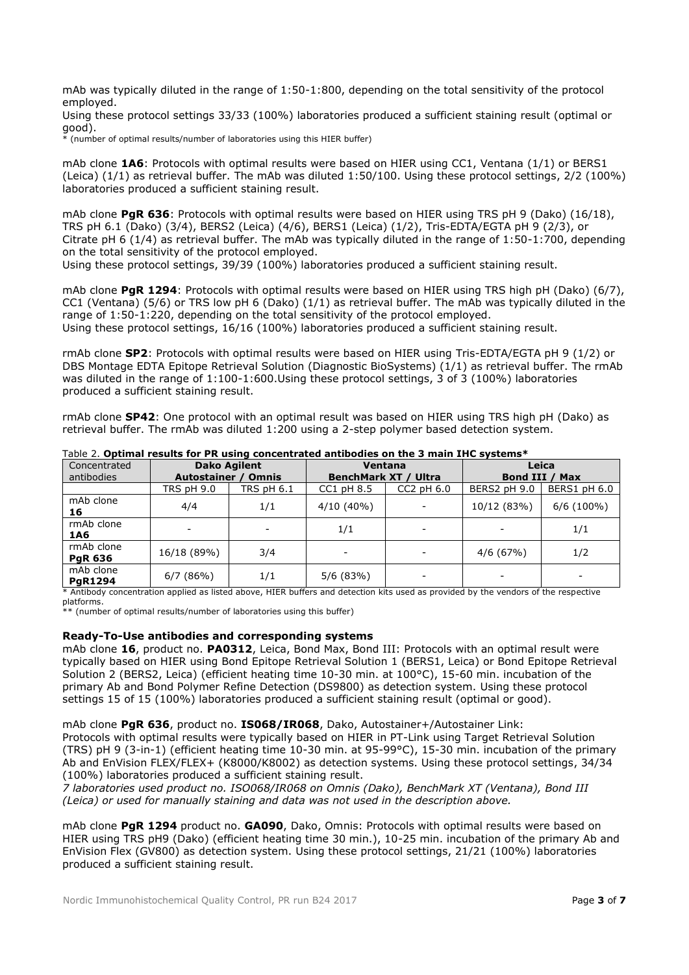mAb was typically diluted in the range of 1:50-1:800, depending on the total sensitivity of the protocol employed.

Using these protocol settings 33/33 (100%) laboratories produced a sufficient staining result (optimal or good).

 $\frac{1}{2}$  (number of optimal results/number of laboratories using this HIER buffer)

mAb clone **1A6**: Protocols with optimal results were based on HIER using CC1, Ventana (1/1) or BERS1 (Leica) (1/1) as retrieval buffer. The mAb was diluted 1:50/100. Using these protocol settings, 2/2 (100%) laboratories produced a sufficient staining result.

mAb clone **PgR 636**: Protocols with optimal results were based on HIER using TRS pH 9 (Dako) (16/18), TRS pH 6.1 (Dako) (3/4), BERS2 (Leica) (4/6), BERS1 (Leica) (1/2), Tris-EDTA/EGTA pH 9 (2/3), or Citrate pH 6 (1/4) as retrieval buffer. The mAb was typically diluted in the range of 1:50-1:700, depending on the total sensitivity of the protocol employed.

Using these protocol settings, 39/39 (100%) laboratories produced a sufficient staining result.

mAb clone PaR 1294: Protocols with optimal results were based on HIER using TRS high pH (Dako) (6/7), CC1 (Ventana) (5/6) or TRS low pH 6 (Dako) (1/1) as retrieval buffer. The mAb was typically diluted in the range of 1:50-1:220, depending on the total sensitivity of the protocol employed. Using these protocol settings, 16/16 (100%) laboratories produced a sufficient staining result.

rmAb clone **SP2**: Protocols with optimal results were based on HIER using Tris-EDTA/EGTA pH 9 (1/2) or DBS Montage EDTA Epitope Retrieval Solution (Diagnostic BioSystems) (1/1) as retrieval buffer. The rmAb was diluted in the range of 1:100-1:600.Using these protocol settings, 3 of 3 (100%) laboratories produced a sufficient staining result.

rmAb clone **SP42**: One protocol with an optimal result was based on HIER using TRS high pH (Dako) as retrieval buffer. The rmAb was diluted 1:200 using a 2-step polymer based detection system.

| Concentrated                 | <b>Dako Agilent</b>                |                   | <b>Ventana</b>              |                          | Leica          |              |  |
|------------------------------|------------------------------------|-------------------|-----------------------------|--------------------------|----------------|--------------|--|
| antibodies                   | <b>Autostainer</b><br><b>Omnis</b> |                   | <b>BenchMark XT / Ultra</b> |                          | Bond III / Max |              |  |
|                              | <b>TRS pH 9.0</b>                  | <b>TRS pH 6.1</b> | $CC1$ pH $8.5$              | $CC2$ pH $6.0$           | BERS2 pH 9.0   | BERS1 pH 6.0 |  |
| mAb clone<br>16              | 4/4                                | 1/1               | $4/10(40\%)$                | $\overline{\phantom{0}}$ | 10/12 (83%)    | $6/6$ (100%) |  |
| rmAb clone<br>1A6            |                                    | ۰                 | 1/1                         | $\overline{\phantom{a}}$ |                | 1/1          |  |
| rmAb clone<br><b>PgR 636</b> | 16/18 (89%)                        | 3/4               |                             | $\overline{\phantom{a}}$ | 4/6(67%)       | 1/2          |  |
| mAb clone<br><b>PgR1294</b>  | 6/7(86%)                           | 1/1               | 5/6(83%)                    | $\overline{\phantom{a}}$ |                | -            |  |

Table 2. **Optimal results for PR using concentrated antibodies on the 3 main IHC systems\***

\* Antibody concentration applied as listed above, HIER buffers and detection kits used as provided by the vendors of the respective platforms.

.<br>\*\* (number of optimal results/number of laboratories using this buffer)

#### **Ready-To-Use antibodies and corresponding systems**

mAb clone **16**, product no. **PA0312**, Leica, Bond Max, Bond III: Protocols with an optimal result were typically based on HIER using Bond Epitope Retrieval Solution 1 (BERS1, Leica) or Bond Epitope Retrieval Solution 2 (BERS2, Leica) (efficient heating time 10-30 min. at 100°C), 15-60 min. incubation of the primary Ab and Bond Polymer Refine Detection (DS9800) as detection system. Using these protocol settings 15 of 15 (100%) laboratories produced a sufficient staining result (optimal or good).

mAb clone **PgR 636**, product no. **IS068/IR068**, Dako, Autostainer+/Autostainer Link:

Protocols with optimal results were typically based on HIER in PT-Link using Target Retrieval Solution (TRS) pH 9 (3-in-1) (efficient heating time 10-30 min. at 95-99°C), 15-30 min. incubation of the primary Ab and EnVision FLEX/FLEX+ (K8000/K8002) as detection systems. Using these protocol settings, 34/34 (100%) laboratories produced a sufficient staining result.

*7 laboratories used product no. ISO068/IR068 on Omnis (Dako), BenchMark XT (Ventana), Bond III (Leica) or used for manually staining and data was not used in the description above.*

mAb clone **PgR 1294** product no. **GA090**, Dako, Omnis: Protocols with optimal results were based on HIER using TRS pH9 (Dako) (efficient heating time 30 min.), 10-25 min. incubation of the primary Ab and EnVision Flex (GV800) as detection system. Using these protocol settings, 21/21 (100%) laboratories produced a sufficient staining result.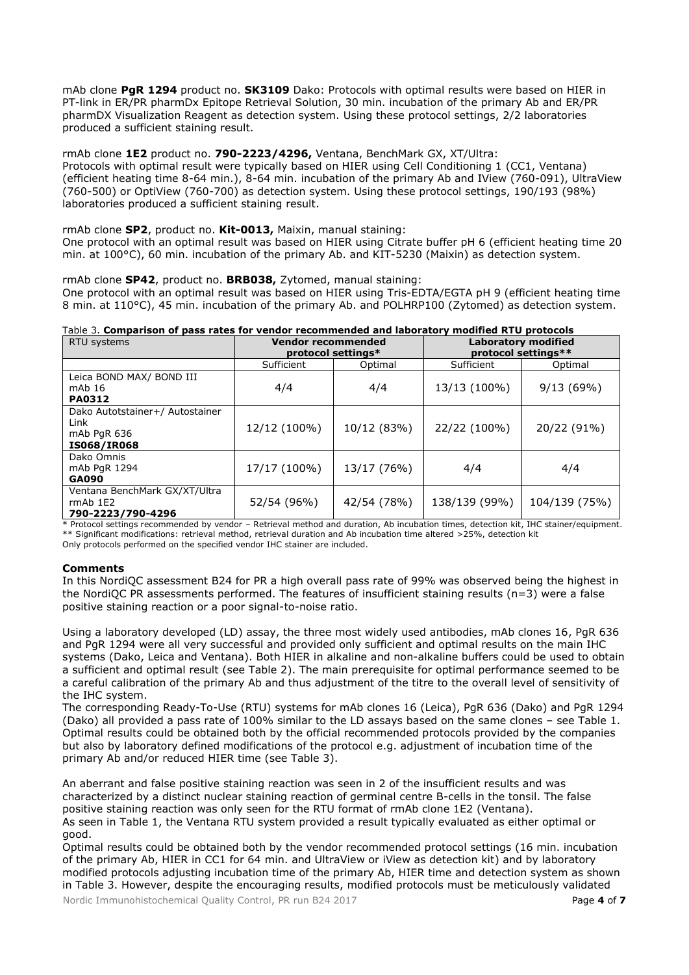mAb clone **PgR 1294** product no. **SK3109** Dako: Protocols with optimal results were based on HIER in PT-link in ER/PR pharmDx Epitope Retrieval Solution, 30 min. incubation of the primary Ab and ER/PR pharmDX Visualization Reagent as detection system. Using these protocol settings, 2/2 laboratories produced a sufficient staining result.

# rmAb clone **1E2** product no. **790-2223/4296,** Ventana, BenchMark GX, XT/Ultra:

Protocols with optimal result were typically based on HIER using Cell Conditioning 1 (CC1, Ventana) (efficient heating time 8-64 min.), 8-64 min. incubation of the primary Ab and IView (760-091), UltraView (760-500) or OptiView (760-700) as detection system. Using these protocol settings, 190/193 (98%) laboratories produced a sufficient staining result.

# rmAb clone **SP2**, product no. **Kit-0013,** Maixin, manual staining:

One protocol with an optimal result was based on HIER using Citrate buffer pH 6 (efficient heating time 20 min. at 100°C), 60 min. incubation of the primary Ab. and KIT-5230 (Maixin) as detection system.

# rmAb clone **SP42**, product no. **BRB038,** Zytomed, manual staining:

One protocol with an optimal result was based on HIER using Tris-EDTA/EGTA pH 9 (efficient heating time 8 min. at 110°C), 45 min. incubation of the primary Ab. and POLHRP100 (Zytomed) as detection system.

# Table 3. **Comparison of pass rates for vendor recommended and laboratory modified RTU protocols**

| RTU systems                                                                  | <b>Vendor recommended</b><br>protocol settings* |             | Laboratory modified<br>protocol settings** |               |  |
|------------------------------------------------------------------------------|-------------------------------------------------|-------------|--------------------------------------------|---------------|--|
|                                                                              | Sufficient                                      | Optimal     | Sufficient                                 | Optimal       |  |
| Leica BOND MAX/ BOND III                                                     |                                                 |             |                                            |               |  |
| mAb 16                                                                       | 4/4                                             | 4/4         | 13/13 (100%)                               | 9/13(69%)     |  |
| <b>PA0312</b>                                                                |                                                 |             |                                            |               |  |
| Dako Autotstainer+/ Autostainer<br>Link<br>mAb PgR 636<br><b>IS068/IR068</b> | 12/12 (100%)                                    | 10/12 (83%) | 22/22 (100%)                               | 20/22 (91%)   |  |
| Dako Omnis<br>mAb PgR 1294<br><b>GA090</b>                                   | 17/17 (100%)                                    | 13/17 (76%) | 4/4                                        | 4/4           |  |
| Ventana BenchMark GX/XT/Ultra<br>$rmAb$ 1E2<br>790-2223/790-4296             | 52/54 (96%)                                     | 42/54 (78%) | 138/139 (99%)                              | 104/139 (75%) |  |

\* Protocol settings recommended by vendor – Retrieval method and duration, Ab incubation times, detection kit, IHC stainer/equipment. \*\* Significant modifications: retrieval method, retrieval duration and Ab incubation time altered >25%, detection kit Only protocols performed on the specified vendor IHC stainer are included.

#### **Comments**

In this NordiQC assessment B24 for PR a high overall pass rate of 99% was observed being the highest in the NordiQC PR assessments performed. The features of insufficient staining results (n=3) were a false positive staining reaction or a poor signal-to-noise ratio.

Using a laboratory developed (LD) assay, the three most widely used antibodies, mAb clones 16, PgR 636 and PgR 1294 were all very successful and provided only sufficient and optimal results on the main IHC systems (Dako, Leica and Ventana). Both HIER in alkaline and non-alkaline buffers could be used to obtain a sufficient and optimal result (see Table 2). The main prerequisite for optimal performance seemed to be a careful calibration of the primary Ab and thus adjustment of the titre to the overall level of sensitivity of the IHC system.

The corresponding Ready-To-Use (RTU) systems for mAb clones 16 (Leica), PgR 636 (Dako) and PgR 1294 (Dako) all provided a pass rate of 100% similar to the LD assays based on the same clones – see Table 1. Optimal results could be obtained both by the official recommended protocols provided by the companies but also by laboratory defined modifications of the protocol e.g. adjustment of incubation time of the primary Ab and/or reduced HIER time (see Table 3).

An aberrant and false positive staining reaction was seen in 2 of the insufficient results and was characterized by a distinct nuclear staining reaction of germinal centre B-cells in the tonsil. The false positive staining reaction was only seen for the RTU format of rmAb clone 1E2 (Ventana). As seen in Table 1, the Ventana RTU system provided a result typically evaluated as either optimal or good.

Optimal results could be obtained both by the vendor recommended protocol settings (16 min. incubation of the primary Ab, HIER in CC1 for 64 min. and UltraView or iView as detection kit) and by laboratory modified protocols adjusting incubation time of the primary Ab, HIER time and detection system as shown in Table 3. However, despite the encouraging results, modified protocols must be meticulously validated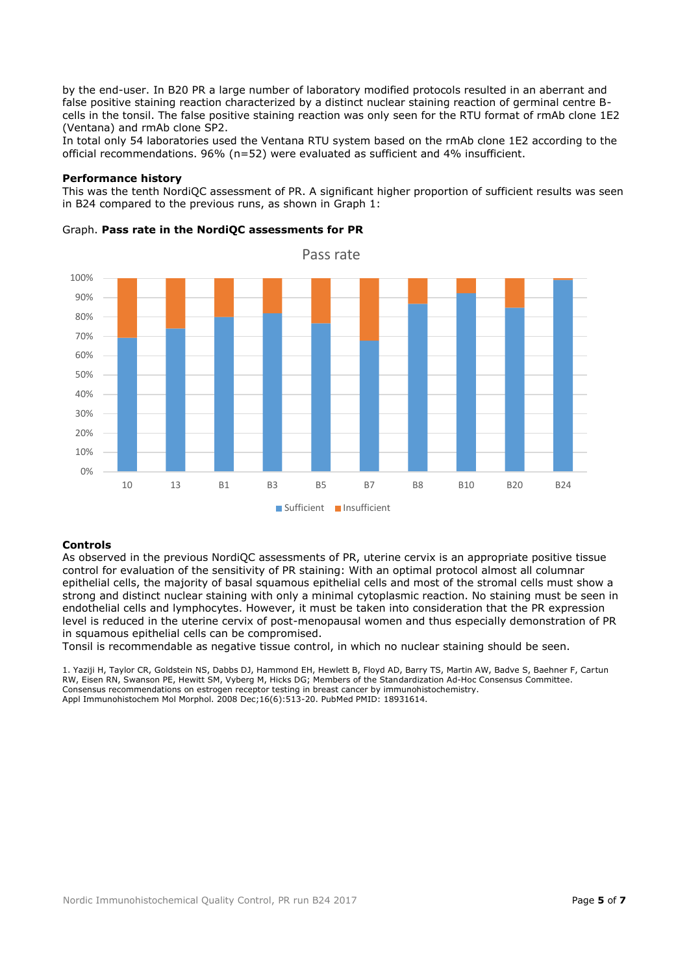by the end-user. In B20 PR a large number of laboratory modified protocols resulted in an aberrant and false positive staining reaction characterized by a distinct nuclear staining reaction of germinal centre Bcells in the tonsil. The false positive staining reaction was only seen for the RTU format of rmAb clone 1E2 (Ventana) and rmAb clone SP2.

In total only 54 laboratories used the Ventana RTU system based on the rmAb clone 1E2 according to the official recommendations. 96% (n=52) were evaluated as sufficient and 4% insufficient.

#### **Performance history**

This was the tenth NordiQC assessment of PR. A significant higher proportion of sufficient results was seen in B24 compared to the previous runs, as shown in Graph 1:



## Graph. **Pass rate in the NordiQC assessments for PR**

#### **Controls**

As observed in the previous NordiQC assessments of PR, uterine cervix is an appropriate positive tissue control for evaluation of the sensitivity of PR staining: With an optimal protocol almost all columnar epithelial cells, the majority of basal squamous epithelial cells and most of the stromal cells must show a strong and distinct nuclear staining with only a minimal cytoplasmic reaction. No staining must be seen in endothelial cells and lymphocytes. However, it must be taken into consideration that the PR expression level is reduced in the uterine cervix of post-menopausal women and thus especially demonstration of PR in squamous epithelial cells can be compromised.

Tonsil is recommendable as negative tissue control, in which no nuclear staining should be seen.

1. Yaziji H, Taylor CR, Goldstein NS, Dabbs DJ, Hammond EH, Hewlett B, Floyd AD, Barry TS, Martin AW, Badve S, Baehner F, Cartun RW, Eisen RN, Swanson PE, Hewitt SM, Vyberg M, Hicks DG; Members of the Standardization Ad-Hoc Consensus Committee. Consensus recommendations on estrogen receptor testing in breast cancer by immunohistochemistry. Appl Immunohistochem Mol Morphol. 2008 Dec;16(6):513-20. PubMed PMID: 18931614.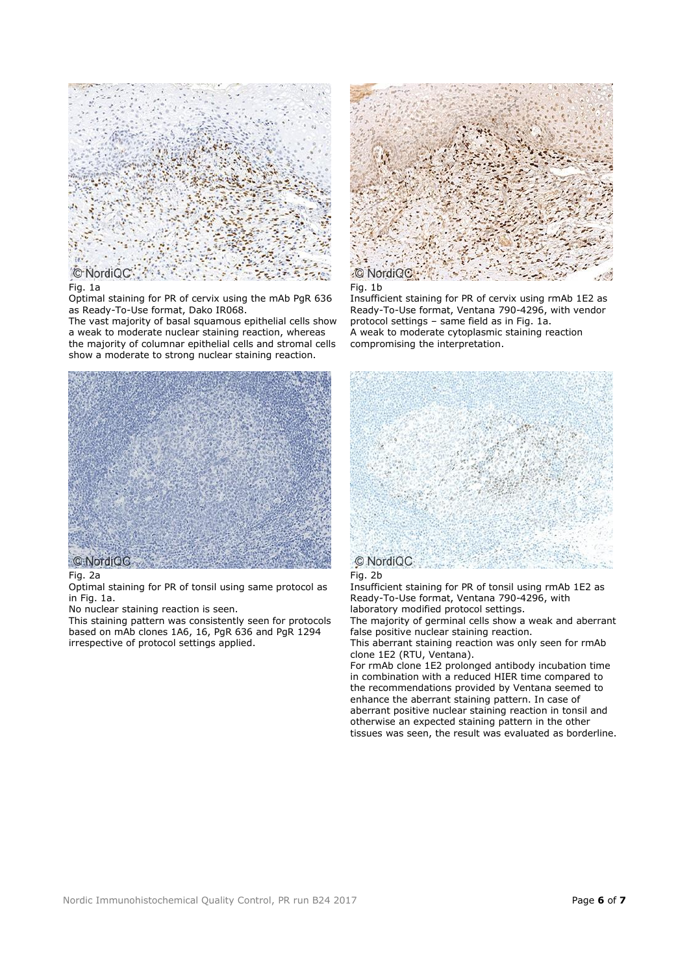

# Fig. 1a

Optimal staining for PR of cervix using the mAb PgR 636 as Ready-To-Use format, Dako IR068.

The vast majority of basal squamous epithelial cells show a weak to moderate nuclear staining reaction, whereas the majority of columnar epithelial cells and stromal cells show a moderate to strong nuclear staining reaction.



#### Fig. 2a

Optimal staining for PR of tonsil using same protocol as in Fig. 1a.

No nuclear staining reaction is seen.

This staining pattern was consistently seen for protocols based on mAb clones 1A6, 16, PgR 636 and PgR 1294 irrespective of protocol settings applied.



Fig. 1b

Insufficient staining for PR of cervix using rmAb 1E2 as Ready-To-Use format, Ventana 790-4296, with vendor protocol settings – same field as in Fig. 1a. A weak to moderate cytoplasmic staining reaction compromising the interpretation.





Insufficient staining for PR of tonsil using rmAb 1E2 as Ready-To-Use format, Ventana 790-4296, with laboratory modified protocol settings.

The majority of germinal cells show a weak and aberrant false positive nuclear staining reaction.

This aberrant staining reaction was only seen for rmAb clone 1E2 (RTU, Ventana).

For rmAb clone 1E2 prolonged antibody incubation time in combination with a reduced HIER time compared to the recommendations provided by Ventana seemed to enhance the aberrant staining pattern. In case of aberrant positive nuclear staining reaction in tonsil and otherwise an expected staining pattern in the other tissues was seen, the result was evaluated as borderline.